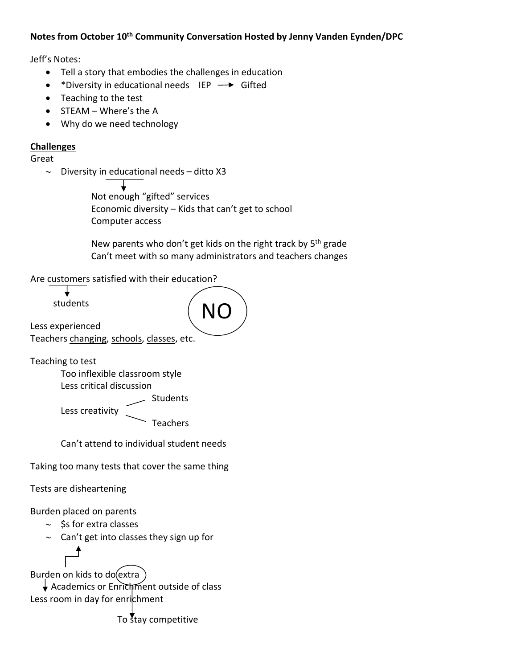## **Notes from October 10th Community Conversation Hosted by Jenny Vanden Eynden/DPC**

Jeff's Notes:

- Tell a story that embodies the challenges in education
- \*Diversity in educational needs  $\overrightarrow{LP}$  Gifted
- Teaching to the test
- $\bullet$  STEAM Where's the A
- Why do we need technology

## **Challenges**

Great

 $\sim$  Diversity in educational needs - ditto X3

 Not enough "gifted" services Economic diversity – Kids that can't get to school Computer access

New parents who don't get kids on the right track by 5<sup>th</sup> grade Can't meet with so many administrators and teachers changes

Are customers satisfied with their education?

┶ students

NO

Teachers changing, schools, classes, etc.

Less creativity

Teaching to test

Less experienced

Too inflexible classroom style Less critical discussion

Students

Teachers

Can't attend to individual student needs

Taking too many tests that cover the same thing

Tests are disheartening

Burden placed on parents

- $\sim$  \$s for extra classes
- $\sim$  Can't get into classes they sign up for

Burden on kids to do(extra)

 Academics or Enrichment outside of class Less room in day for enrichment

To stay competitive